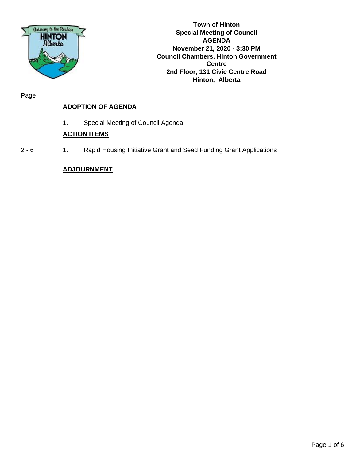

**Town of Hinton Special Meeting of Council AGENDA November 21, 2020 - 3:30 PM Council Chambers, Hinton Government Centre 2nd Floor, 131 Civic Centre Road Hinton, Alberta**

Page

# **ADOPTION OF AGENDA**

1. Special Meeting of Council Agenda

## **ACTION ITEMS**

2 - 6 1. Rapid Housing Initiative Grant and Seed Funding Grant Applications

## **ADJOURNMENT**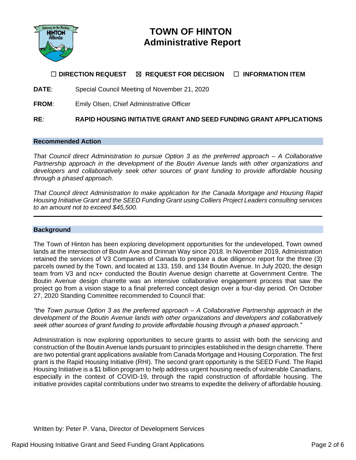

# **TOWN OF HINTON Administrative Report**

# ☐ **DIRECTION REQUEST** ☒ **REQUEST FOR DECISION** ☐ **INFORMATION ITEM**

**DATE**: Special Council Meeting of November 21, 2020

**FROM**: Emily Olsen, Chief Administrative Officer

**RE**: **RAPID HOUSING INITIATIVE GRANT AND SEED FUNDING GRANT APPLICATIONS**

## **Recommended Action**

*That Council direct Administration to pursue Option 3 as the preferred approach – A Collaborative Partnership approach in the development of the Boutin Avenue lands with other organizations and*  developers and collaboratively seek other sources of grant funding to provide affordable housing *through a phased approach.*

*That Council direct Administration to make application for the Canada Mortgage and Housing Rapid Housing Initiative Grant and the SEED Funding Grant using Colliers Project Leaders consulting services to an amount not to exceed \$45,500.*

#### **Background**

The Town of Hinton has been exploring development opportunities for the undeveloped, Town owned lands at the intersection of Boutin Ave and Drinnan Way since 2018. In November 2019, Administration retained the services of V3 Companies of Canada to prepare a due diligence report for the three (3) parcels owned by the Town, and located at 133, 159, and 134 Boutin Avenue. In July 2020, the design team from V3 and ncx+ conducted the Boutin Avenue design charrette at Government Centre. The Boutin Avenue design charrette was an intensive collaborative engagement process that saw the project go from a vision stage to a final preferred concept design over a four-day period. On October 27, 2020 Standing Committee recommended to Council that:

*"the Town pursue Option 3 as the preferred approach – A Collaborative Partnership approach in the development of the Boutin Avenue lands with other organizations and developers and collaboratively seek other sources of grant funding to provide affordable housing through a phased approach."*

Administration is now exploring opportunities to secure grants to assist with both the servicing and construction of the Boutin Avenue lands pursuant to principles established in the design charrette. There are two potential grant applications available from Canada Mortgage and Housing Corporation. The first grant is the Rapid Housing Initiative (RHI). The second grant opportunity is the SEED Fund. The Rapid Housing Initiative is a \$1 billion program to help address urgent housing needs of vulnerable Canadians, especially in the context of COVID-19, through the rapid construction of affordable housing. The initiative provides capital contributions under two streams to expedite the delivery of affordable housing.

Written by: Peter P. Vana, Director of Development Services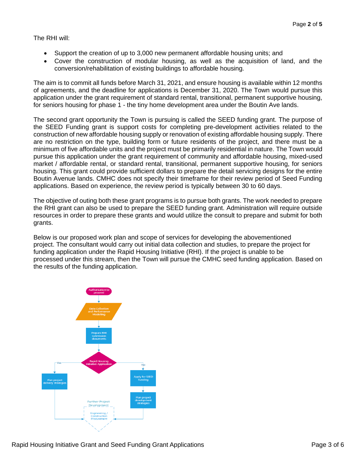The RHI will:

- Support the creation of up to 3,000 new permanent affordable housing units; and
- Cover the construction of modular housing, as well as the acquisition of land, and the conversion/rehabilitation of existing buildings to affordable housing.

The aim is to commit all funds before March 31, 2021, and ensure housing is available within 12 months of agreements, and the deadline for applications is December 31, 2020. The Town would pursue this application under the grant requirement of standard rental, transitional, permanent supportive housing, for seniors housing for phase 1 - the tiny home development area under the Boutin Ave lands.

The second grant opportunity the Town is pursuing is called the SEED funding grant. The purpose of the SEED Funding grant is support costs for completing pre-development activities related to the construction of new affordable housing supply or renovation of existing affordable housing supply. There are no restriction on the type, building form or future residents of the project, and there must be a minimum of five affordable units and the project must be primarily residential in nature. The Town would pursue this application under the grant requirement of community and affordable housing, mixed-used market / affordable rental, or standard rental, transitional, permanent supportive housing, for seniors housing. This grant could provide sufficient dollars to prepare the detail servicing designs for the entire Boutin Avenue lands. CMHC does not specify their timeframe for their review period of Seed Funding applications. Based on experience, the review period is typically between 30 to 60 days.

The objective of outing both these grant programs is to pursue both grants. The work needed to prepare the RHI grant can also be used to prepare the SEED funding grant. Administration will require outside resources in order to prepare these grants and would utilize the consult to prepare and submit for both grants.

Below is our proposed work plan and scope of services for developing the abovementioned project. The consultant would carry out initial data collection and studies, to prepare the project for funding application under the Rapid Housing Initiative (RHI). If the project is unable to be processed under this stream, then the Town will pursue the CMHC seed funding application. Based on the results of the funding application.

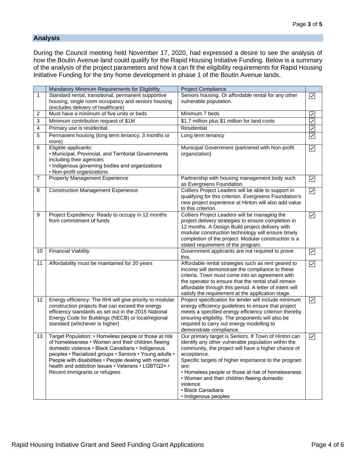## **Analysis**

During the Council meeting held November 17, 2020, had expressed a desire to see the analysis of how the Boutin Avenue land could qualify for the Rapid Housing Initiative Funding. Below is a summary of the analysis of the project parameters and how it can fit the eligibility requirements for Rapid Housing Initiative Funding for the tiny home development in phase 1 of the Boutin Avenue lands.

|                | Mandatory Minimum Requirements for Eligibility                                                                                                                                                                                                                                                                                                                            | Project Compliance                                                                                                                                                                                                                                                                                                                                                                                              |                         |
|----------------|---------------------------------------------------------------------------------------------------------------------------------------------------------------------------------------------------------------------------------------------------------------------------------------------------------------------------------------------------------------------------|-----------------------------------------------------------------------------------------------------------------------------------------------------------------------------------------------------------------------------------------------------------------------------------------------------------------------------------------------------------------------------------------------------------------|-------------------------|
| 1              | Standard rental, transitional, permanent supportive                                                                                                                                                                                                                                                                                                                       | Seniors housing. Or affordable rental for any other                                                                                                                                                                                                                                                                                                                                                             | $\overline{\smile}$     |
|                | housing, single room occupancy and seniors housing<br>(excludes delivery of healthcare)                                                                                                                                                                                                                                                                                   | vulnerable population.                                                                                                                                                                                                                                                                                                                                                                                          |                         |
| $\overline{c}$ | Must have a minimum of five units or beds                                                                                                                                                                                                                                                                                                                                 | Minimum 7 beds                                                                                                                                                                                                                                                                                                                                                                                                  | $\checkmark$            |
| 3              | Minimum contribution request of \$1M                                                                                                                                                                                                                                                                                                                                      | \$1.7 million plus \$1 million for land costs                                                                                                                                                                                                                                                                                                                                                                   | $\overline{\checkmark}$ |
| 4              | Primary use is residential                                                                                                                                                                                                                                                                                                                                                | Residential                                                                                                                                                                                                                                                                                                                                                                                                     | $\checkmark$            |
| 5              | Permanent housing (long term tenancy, 3 months or<br>more)                                                                                                                                                                                                                                                                                                                | Long term tenancy                                                                                                                                                                                                                                                                                                                                                                                               | ☑                       |
| 6              | Eligible applicants:<br>• Municipal, Provincial, and Territorial Governments<br>including their agencies<br>• Indigenous governing bodies and organizations<br>• Non-profit organizations                                                                                                                                                                                 | Municipal Government (partnered with Non-profit<br>organization)                                                                                                                                                                                                                                                                                                                                                | $\boxed{\checkmark}$    |
| $\overline{7}$ | Property Management Experience                                                                                                                                                                                                                                                                                                                                            | Partnership with housing management body such<br>as Evergreens Foundation                                                                                                                                                                                                                                                                                                                                       | $\overline{\smile}$     |
| 8              | <b>Construction Management Experience</b>                                                                                                                                                                                                                                                                                                                                 | Colliers Project Leaders will be able to support in<br>qualifying for this criterion. Evergreens Foundation's<br>new project experience at Hinton will also add value<br>to this criterion.                                                                                                                                                                                                                     | $\boxed{\checkmark}$    |
| 9              | Project Expediency: Ready to occupy in 12 months<br>from commitment of funds                                                                                                                                                                                                                                                                                              | Colliers Project Leaders will be managing the<br>project delivery strategies to ensure completion in<br>12 months. A Design Build project delivery with<br>modular construction technology will ensure timely<br>completion of the project. Modular construction is a<br>stated requirement of the program.                                                                                                     | ☑                       |
| 10             | <b>Financial Viability</b>                                                                                                                                                                                                                                                                                                                                                | Government applicants are not required to prove<br>this.                                                                                                                                                                                                                                                                                                                                                        | ☑                       |
| 11             | Affordability must be maintained for 20 years                                                                                                                                                                                                                                                                                                                             | Affordable rental strategies such as rent geared to<br>income will demonstrate the compliance to these<br>criteria. Town must come into an agreement with<br>the operator to ensure that the rental shall remain<br>affordable through this period. A letter of intent will<br>satisfy the requirement at the application stage.                                                                                | $\blacktriangleright$   |
| 12             | Energy efficiency: The RHI will give priority to modular<br>construction projects that can exceed the energy<br>efficiency standards as set out in the 2015 National<br>Energy Code for Buildings (NECB) or local/regional<br>standard (whichever is higher)                                                                                                              | Project specification for tender will include minimum<br>energy efficiency guidelines to ensure that project<br>meets a specified energy efficiency criterion thereby<br>ensuring eligibility. The proponents will also be<br>required to carry out energy modelling to<br>demonstrate compliance.                                                                                                              | $\triangledown$         |
| 13             | Target Population: • Homeless people or those at risk<br>of homelessness • Women and their children fleeing<br>domestic violence · Black Canadians · Indigenous<br>peoples • Racialized groups • Seniors • Young adults •<br>People with disabilities • People dealing with mental<br>health and addiction issues • Veterans • LGBTQ2+ •<br>Recent immigrants or refugees | Our primary target is Seniors. If Town of Hinton can<br>identify any other vulnerable population within the<br>community, the project will have a higher chance of<br>acceptance.<br>Specific targets of higher importance to the program<br>are:<br>• Homeless people or those at risk of homelessness<br>• Women and their children fleeing domestic<br>violence<br>• Black Canadians<br>• Indigenous peoples | ☑                       |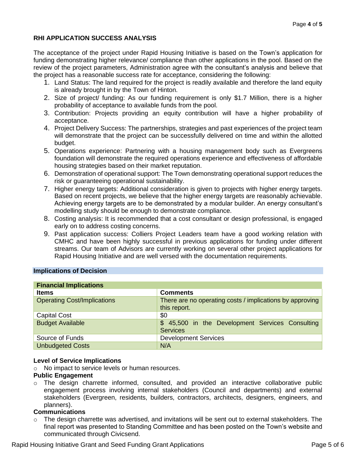## **RHI APPLICATION SUCCESS ANALYSIS**

The acceptance of the project under Rapid Housing Initiative is based on the Town's application for funding demonstrating higher relevance/ compliance than other applications in the pool. Based on the review of the project parameters, Administration agree with the consultant's analysis and believe that the project has a reasonable success rate for acceptance, considering the following:

- 1. Land Status: The land required for the project is readily available and therefore the land equity is already brought in by the Town of Hinton.
- 2. Size of project/ funding: As our funding requirement is only \$1.7 Million, there is a higher probability of acceptance to available funds from the pool.
- 3. Contribution: Projects providing an equity contribution will have a higher probability of acceptance.
- 4. Project Delivery Success: The partnerships, strategies and past experiences of the project team will demonstrate that the project can be successfully delivered on time and within the allotted budget.
- 5. Operations experience: Partnering with a housing management body such as Evergreens foundation will demonstrate the required operations experience and effectiveness of affordable housing strategies based on their market reputation.
- 6. Demonstration of operational support: The Town demonstrating operational support reduces the risk or guaranteeing operational sustainability.
- 7. Higher energy targets: Additional consideration is given to projects with higher energy targets. Based on recent projects, we believe that the higher energy targets are reasonably achievable. Achieving energy targets are to be demonstrated by a modular builder. An energy consultant's modelling study should be enough to demonstrate compliance.
- 8. Costing analysis: It is recommended that a cost consultant or design professional, is engaged early on to address costing concerns.
- 9. Past application success: Colliers Project Leaders team have a good working relation with CMHC and have been highly successful in previous applications for funding under different streams. Our team of Advisors are currently working on several other project applications for Rapid Housing Initiative and are well versed with the documentation requirements.

## **Implications of Decision**

| <b>Financial Implications</b>      |                                                                          |  |  |
|------------------------------------|--------------------------------------------------------------------------|--|--|
| <b>Items</b>                       | <b>Comments</b>                                                          |  |  |
| <b>Operating Cost/Implications</b> | There are no operating costs / implications by approving<br>this report. |  |  |
| <b>Capital Cost</b>                | \$0                                                                      |  |  |
| <b>Budget Available</b>            | \$ 45,500 in the Development Services Consulting<br><b>Services</b>      |  |  |
| Source of Funds                    | <b>Development Services</b>                                              |  |  |
| <b>Unbudgeted Costs</b>            | N/A                                                                      |  |  |

## **Level of Service Implications**

o No impact to service levels or human resources.

## **Public Engagement**

 $\circ$  The design charrette informed, consulted, and provided an interactive collaborative public engagement process involving internal stakeholders (Council and departments) and external stakeholders (Evergreen, residents, builders, contractors, architects, designers, engineers, and planners).

## **Communications**

 $\circ$  The design charrette was advertised, and invitations will be sent out to external stakeholders. The final report was presented to Standing Committee and has been posted on the Town's website and communicated through Civicsend.